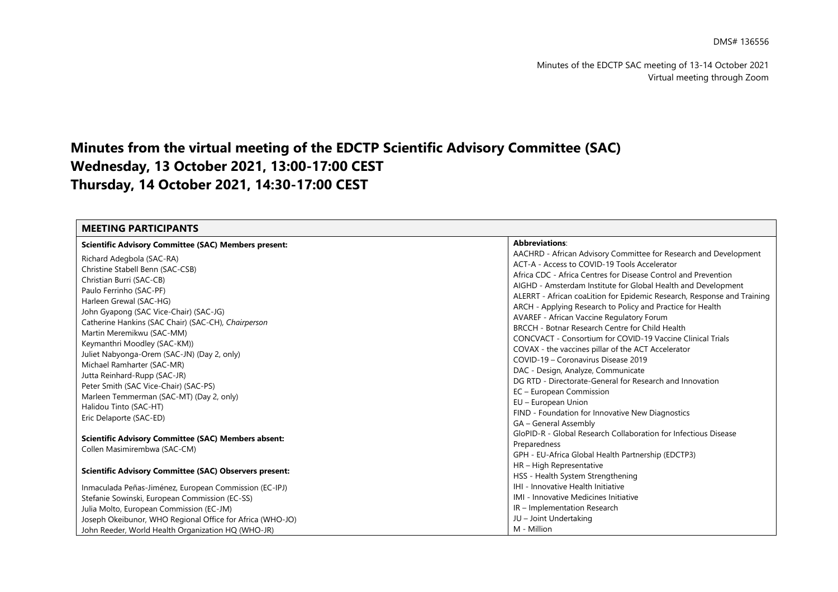DMS# 136556

Minutes of the EDCTP SAC meeting of 13-14 October 2021 Virtual meeting through Zoom

## **Minutes from the virtual meeting of the EDCTP Scientific Advisory Committee (SAC) Wednesday, 13 October 2021, 13:00-17:00 CEST Thursday, 14 October 2021, 14:30-17:00 CEST**

| <b>MEETING PARTICIPANTS</b>                                 |                                                                         |
|-------------------------------------------------------------|-------------------------------------------------------------------------|
| <b>Scientific Advisory Committee (SAC) Members present:</b> | <b>Abbreviations:</b>                                                   |
| Richard Adegbola (SAC-RA)                                   | AACHRD - African Advisory Committee for Research and Development        |
| Christine Stabell Benn (SAC-CSB)                            | ACT-A - Access to COVID-19 Tools Accelerator                            |
|                                                             | Africa CDC - Africa Centres for Disease Control and Prevention          |
| Christian Burri (SAC-CB)                                    | AIGHD - Amsterdam Institute for Global Health and Development           |
| Paulo Ferrinho (SAC-PF)                                     | ALERRT - African coaLition for Epidemic Research, Response and Training |
| Harleen Grewal (SAC-HG)                                     | ARCH - Applying Research to Policy and Practice for Health              |
| John Gyapong (SAC Vice-Chair) (SAC-JG)                      | AVAREF - African Vaccine Regulatory Forum                               |
| Catherine Hankins (SAC Chair) (SAC-CH), Chairperson         | BRCCH - Botnar Research Centre for Child Health                         |
| Martin Meremikwu (SAC-MM)                                   | <b>CONCVACT - Consortium for COVID-19 Vaccine Clinical Trials</b>       |
| Keymanthri Moodley (SAC-KM))                                | COVAX - the vaccines pillar of the ACT Accelerator                      |
| Juliet Nabyonga-Orem (SAC-JN) (Day 2, only)                 | COVID-19 - Coronavirus Disease 2019                                     |
| Michael Ramharter (SAC-MR)                                  | DAC - Design, Analyze, Communicate                                      |
| Jutta Reinhard-Rupp (SAC-JR)                                | DG RTD - Directorate-General for Research and Innovation                |
| Peter Smith (SAC Vice-Chair) (SAC-PS)                       | EC - European Commission                                                |
| Marleen Temmerman (SAC-MT) (Day 2, only)                    | EU - European Union                                                     |
| Halidou Tinto (SAC-HT)                                      | FIND - Foundation for Innovative New Diagnostics                        |
| Eric Delaporte (SAC-ED)                                     | GA - General Assembly                                                   |
|                                                             | GloPID-R - Global Research Collaboration for Infectious Disease         |
| <b>Scientific Advisory Committee (SAC) Members absent:</b>  | Preparedness                                                            |
| Collen Masimirembwa (SAC-CM)                                | GPH - EU-Africa Global Health Partnership (EDCTP3)                      |
|                                                             | HR - High Representative                                                |
| Scientific Advisory Committee (SAC) Observers present:      | HSS - Health System Strengthening                                       |
| Inmaculada Peñas-Jiménez, European Commission (EC-IPJ)      | <b>IHI - Innovative Health Initiative</b>                               |
| Stefanie Sowinski, European Commission (EC-SS)              | <b>IMI - Innovative Medicines Initiative</b>                            |
| Julia Molto, European Commission (EC-JM)                    | IR - Implementation Research                                            |
| Joseph Okeibunor, WHO Regional Office for Africa (WHO-JO)   | JU - Joint Undertaking                                                  |
| John Reeder, World Health Organization HQ (WHO-JR)          | M - Million                                                             |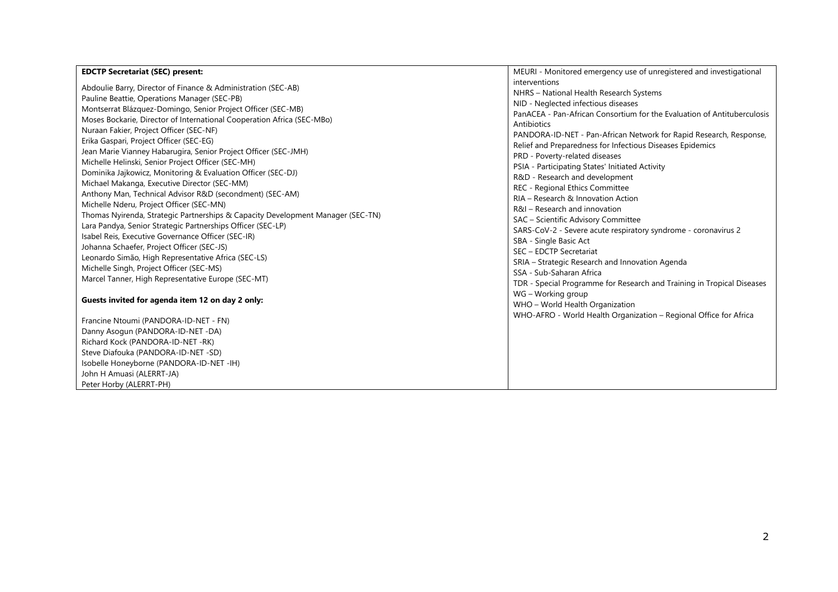| <b>EDCTP Secretariat (SEC) present:</b>                                         | MEURI - Monitored emergency use of unregistered and investigational     |
|---------------------------------------------------------------------------------|-------------------------------------------------------------------------|
|                                                                                 | interventions                                                           |
| Abdoulie Barry, Director of Finance & Administration (SEC-AB)                   | NHRS - National Health Research Systems                                 |
| Pauline Beattie, Operations Manager (SEC-PB)                                    | NID - Neglected infectious diseases                                     |
| Montserrat Blázquez-Domingo, Senior Project Officer (SEC-MB)                    | PanACEA - Pan-African Consortium for the Evaluation of Antituberculosis |
| Moses Bockarie, Director of International Cooperation Africa (SEC-MBo)          | Antibiotics                                                             |
| Nuraan Fakier, Project Officer (SEC-NF)                                         | PANDORA-ID-NET - Pan-African Network for Rapid Research, Response,      |
| Erika Gaspari, Project Officer (SEC-EG)                                         | Relief and Preparedness for Infectious Diseases Epidemics               |
| Jean Marie Vianney Habarugira, Senior Project Officer (SEC-JMH)                 | PRD - Poverty-related diseases                                          |
| Michelle Helinski, Senior Project Officer (SEC-MH)                              | PSIA - Participating States' Initiated Activity                         |
| Dominika Jajkowicz, Monitoring & Evaluation Officer (SEC-DJ)                    | R&D - Research and development                                          |
| Michael Makanga, Executive Director (SEC-MM)                                    | REC - Regional Ethics Committee                                         |
| Anthony Man, Technical Advisor R&D (secondment) (SEC-AM)                        | RIA - Research & Innovation Action                                      |
| Michelle Nderu, Project Officer (SEC-MN)                                        | R&I - Research and innovation                                           |
| Thomas Nyirenda, Strategic Partnerships & Capacity Development Manager (SEC-TN) | SAC - Scientific Advisory Committee                                     |
| Lara Pandya, Senior Strategic Partnerships Officer (SEC-LP)                     | SARS-CoV-2 - Severe acute respiratory syndrome - coronavirus 2          |
| Isabel Reis, Executive Governance Officer (SEC-IR)                              | SBA - Single Basic Act                                                  |
| Johanna Schaefer, Project Officer (SEC-JS)                                      | SEC - EDCTP Secretariat                                                 |
| Leonardo Simão, High Representative Africa (SEC-LS)                             | SRIA - Strategic Research and Innovation Agenda                         |
| Michelle Singh, Project Officer (SEC-MS)                                        | SSA - Sub-Saharan Africa                                                |
| Marcel Tanner, High Representative Europe (SEC-MT)                              | TDR - Special Programme for Research and Training in Tropical Diseases  |
|                                                                                 | WG - Working group                                                      |
| Guests invited for agenda item 12 on day 2 only:                                | WHO - World Health Organization                                         |
|                                                                                 | WHO-AFRO - World Health Organization - Regional Office for Africa       |
| Francine Ntoumi (PANDORA-ID-NET - FN)                                           |                                                                         |
| Danny Asogun (PANDORA-ID-NET-DA)                                                |                                                                         |
| Richard Kock (PANDORA-ID-NET -RK)                                               |                                                                         |
| Steve Diafouka (PANDORA-ID-NET -SD)                                             |                                                                         |
| Isobelle Honeyborne (PANDORA-ID-NET-IH)                                         |                                                                         |
| John H Amuasi (ALERRT-JA)                                                       |                                                                         |
| Peter Horby (ALERRT-PH)                                                         |                                                                         |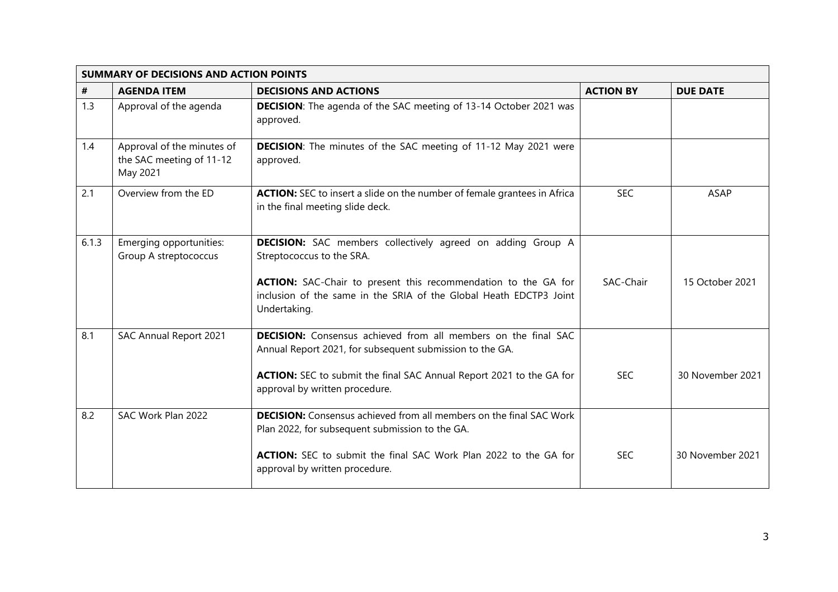|       | <b>SUMMARY OF DECISIONS AND ACTION POINTS</b>                      |                                                                                                                                                      |                  |                  |
|-------|--------------------------------------------------------------------|------------------------------------------------------------------------------------------------------------------------------------------------------|------------------|------------------|
| $\#$  | <b>AGENDA ITEM</b>                                                 | <b>DECISIONS AND ACTIONS</b>                                                                                                                         | <b>ACTION BY</b> | <b>DUE DATE</b>  |
| 1.3   | Approval of the agenda                                             | <b>DECISION:</b> The agenda of the SAC meeting of 13-14 October 2021 was<br>approved.                                                                |                  |                  |
| 1.4   | Approval of the minutes of<br>the SAC meeting of 11-12<br>May 2021 | DECISION: The minutes of the SAC meeting of 11-12 May 2021 were<br>approved.                                                                         |                  |                  |
| 2.1   | Overview from the ED                                               | ACTION: SEC to insert a slide on the number of female grantees in Africa<br>in the final meeting slide deck.                                         | <b>SEC</b>       | <b>ASAP</b>      |
| 6.1.3 | Emerging opportunities:<br>Group A streptococcus                   | DECISION: SAC members collectively agreed on adding Group A<br>Streptococcus to the SRA.                                                             |                  |                  |
|       |                                                                    | ACTION: SAC-Chair to present this recommendation to the GA for<br>inclusion of the same in the SRIA of the Global Heath EDCTP3 Joint<br>Undertaking. | SAC-Chair        | 15 October 2021  |
| 8.1   | SAC Annual Report 2021                                             | <b>DECISION:</b> Consensus achieved from all members on the final SAC<br>Annual Report 2021, for subsequent submission to the GA.                    |                  |                  |
|       |                                                                    | ACTION: SEC to submit the final SAC Annual Report 2021 to the GA for<br>approval by written procedure.                                               | <b>SEC</b>       | 30 November 2021 |
| 8.2   | SAC Work Plan 2022                                                 | <b>DECISION:</b> Consensus achieved from all members on the final SAC Work<br>Plan 2022, for subsequent submission to the GA.                        |                  |                  |
|       |                                                                    | <b>ACTION:</b> SEC to submit the final SAC Work Plan 2022 to the GA for<br>approval by written procedure.                                            | <b>SEC</b>       | 30 November 2021 |